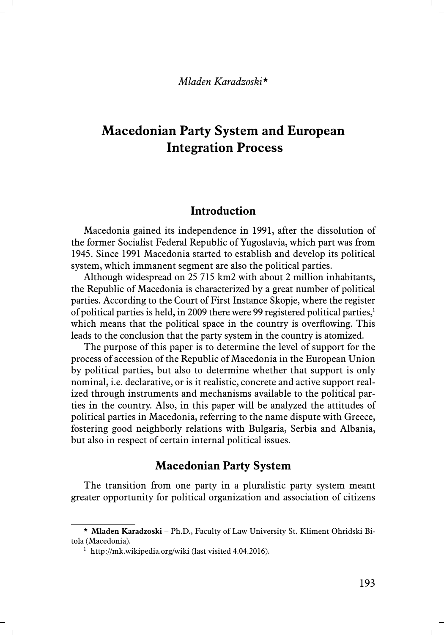### *Mladen Karadzoski\**

# **Macedonian Party System and European Integration Process**

### **Introduction**

Macedonia gained its independence in 1991, after the dissolution of the former Socialist Federal Republic of Yugoslavia, which part was from 1945. Since 1991 Macedonia started to establish and develop its political system, which immanent segment are also the political parties.

Although widespread on 25 715 km2 with about 2 million inhabitants, the Republic of Macedonia is characterized by a great number of political parties. According to the Court of First Instance Skopje, where the register of political parties is held, in 2009 there were 99 registered political parties, $\frac{1}{2}$ which means that the political space in the country is overflowing. This leads to the conclusion that the party system in the country is atomized.

The purpose of this paper is to determine the level of support for the process of accession of the Republic of Macedonia in the European Union by political parties, but also to determine whether that support is only nominal, i.e. declarative, or is it realistic, concrete and active support realized through instruments and mechanisms available to the political parties in the country. Also, in this paper will be analyzed the attitudes of political parties in Macedonia, referring to the name dispute with Greece, fostering good neighborly relations with Bulgaria, Serbia and Albania, but also in respect of certain internal political issues.

### **Macedonian Party System**

The transition from one party in a pluralistic party system meant greater opportunity for political organization and association of citizens

<sup>\*</sup> **Mladen Karadzoski** – Ph.D., Faculty of Law University St. Kliment Ohridski Bitola (Macedonia).

<sup>&</sup>lt;sup>1</sup> http://mk.wikipedia.org/wiki (last visited 4.04.2016).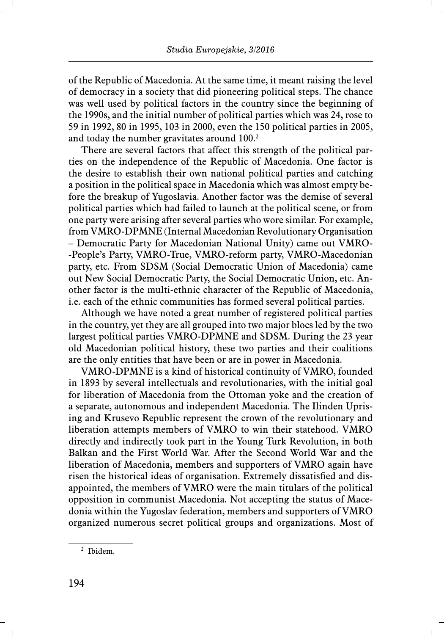of the Republic of Macedonia. At the same time, it meant raising the level of democracy in a society that did pioneering political steps. The chance was well used by political factors in the country since the beginning of the 1990s, and the initial number of political parties which was 24, rose to 59 in 1992, 80 in 1995, 103 in 2000, even the 150 political parties in 2005, and today the number gravitates around 100.<sup>2</sup>

There are several factors that affect this strength of the political parties on the independence of the Republic of Macedonia. One factor is the desire to establish their own national political parties and catching a position in the political space in Macedonia which was almost empty before the breakup of Yugoslavia. Another factor was the demise of several political parties which had failed to launch at the political scene, or from one party were arising after several parties who wore similar. For example, from VMRO-DPMNE (Internal Macedonian Revolutionary Organisation – Democratic Party for Macedonian National Unity) came out VMRO- -People's Party, VMRO-True, VMRO-reform party, VMRO-Macedonian party, etc. From SDSM (Social Democratic Union of Macedonia) came out New Social Democratic Party, the Social Democratic Union, etc. Another factor is the multi-ethnic character of the Republic of Macedonia, i.e. each of the ethnic communities has formed several political parties.

Although we have noted a great number of registered political parties in the country, yet they are all grouped into two major blocs led by the two largest political parties VMRO-DPMNE and SDSM. During the 23 year old Macedonian political history, these two parties and their coalitions are the only entities that have been or are in power in Macedonia.

VMRO-DPMNE is a kind of historical continuity of VMRO, founded in 1893 by several intellectuals and revolutionaries, with the initial goal for liberation of Macedonia from the Ottoman yoke and the creation of a separate, autonomous and independent Macedonia. The Ilinden Uprising and Krusevo Republic represent the crown of the revolutionary and liberation attempts members of VMRO to win their statehood. VMRO directly and indirectly took part in the Young Turk Revolution, in both Balkan and the First World War. After the Second World War and the liberation of Macedonia, members and supporters of VMRO again have risen the historical ideas of organisation. Extremely dissatisfied and disappointed, the members of VMRO were the main titulars of the political opposition in communist Macedonia. Not accepting the status of Macedonia within the Yugoslav federation, members and supporters of VMRO organized numerous secret political groups and organizations. Most of

<sup>2</sup> Ibidem.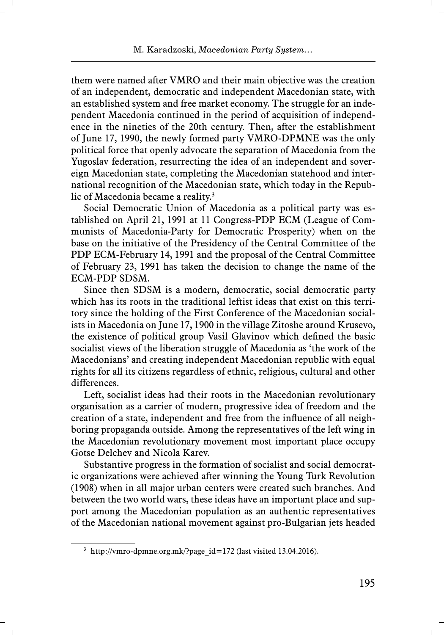them were named after VMRO and their main objective was the creation of an independent, democratic and independent Macedonian state, with an established system and free market economy. The struggle for an independent Macedonia continued in the period of acquisition of independence in the nineties of the 20th century. Then, after the establishment of June 17, 1990, the newly formed party VMRO-DPMNE was the only political force that openly advocate the separation of Macedonia from the Yugoslav federation, resurrecting the idea of an independent and sovereign Macedonian state, completing the Macedonian statehood and international recognition of the Macedonian state, which today in the Republic of Macedonia became a reality.<sup>3</sup>

Social Democratic Union of Macedonia as a political party was established on April 21, 1991 at 11 Congress-PDP ECM (League of Communists of Macedonia-Party for Democratic Prosperity) when on the base on the initiative of the Presidency of the Central Committee of the PDP ECM-February 14, 1991 and the proposal of the Central Committee of February 23, 1991 has taken the decision to change the name of the ECM-PDP SDSM.

Since then SDSM is a modern, democratic, social democratic party which has its roots in the traditional leftist ideas that exist on this territory since the holding of the First Conference of the Macedonian socialists in Macedonia on June 17, 1900 in the village Zitoshe around Krusevo, the existence of political group Vasil Glavinov which defined the basic socialist views of the liberation struggle of Macedonia as 'the work of the Macedonians' and creating independent Macedonian republic with equal rights for all its citizens regardless of ethnic, religious, cultural and other differences.

Left, socialist ideas had their roots in the Macedonian revolutionary organisation as a carrier of modern, progressive idea of freedom and the creation of a state, independent and free from the influence of all neighboring propaganda outside. Among the representatives of the left wing in the Macedonian revolutionary movement most important place occupy Gotse Delchev and Nicola Karev.

Substantive progress in the formation of socialist and social democratic organizations were achieved after winning the Young Turk Revolution (1908) when in all major urban centers were created such branches. And between the two world wars, these ideas have an important place and support among the Macedonian population as an authentic representatives of the Macedonian national movement against pro-Bulgarian jets headed

<sup>&</sup>lt;sup>3</sup> http://vmro-dpmne.org.mk/?page  $id=172$  (last visited 13.04.2016).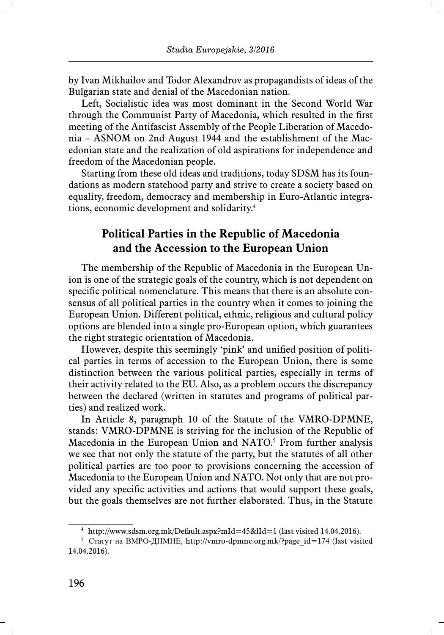by Ivan Mikhailov and Todor Alexandrov as propagandists of ideas of the Bulgarian state and denial of the Macedonian nation.

Left, Socialistic idea was most dominant in the Second World War through the Communist Party of Macedonia, which resulted in the first meeting of the Antifascist Assembly of the People Liberation of Macedonia – ASNOM on 2nd August 1944 and the establishment of the Macedonian state and the realization of old aspirations for independence and freedom of the Macedonian people.

Starting from these old ideas and traditions, today SDSM has its foundations as modern statehood party and strive to create a society based on equality, freedom, democracy and membership in Euro-Atlantic integrations, economic development and solidarity.4

# **Political Parties in the Republic of Macedonia and the Accession to the European Union**

The membership of the Republic of Macedonia in the European Union is one of the strategic goals of the country, which is not dependent on specific political nomenclature. This means that there is an absolute consensus of all political parties in the country when it comes to joining the European Union. Different political, ethnic, religious and cultural policy options are blended into a single pro-European option, which guarantees the right strategic orientation of Macedonia.

However, despite this seemingly 'pink' and unified position of political parties in terms of accession to the European Union, there is some distinction between the various political parties, especially in terms of their activity related to the EU. Also, as a problem occurs the discrepancy between the declared (written in statutes and programs of political parties) and realized work.

In Article 8, paragraph 10 of the Statute of the VMRO-DPMNE, stands: VMRO-DPMNE is striving for the inclusion of the Republic of Macedonia in the European Union and NATO.<sup>5</sup> From further analysis we see that not only the statute of the party, but the statutes of all other political parties are too poor to provisions concerning the accession of Macedonia to the European Union and NATO. Not only that are not provided any specific activities and actions that would support these goals, but the goals themselves are not further elaborated. Thus, in the Statute

<sup>4</sup> http://www.sdsm.org.mk/Default.aspx?mId=45&lId=1 (last visited 14.04.2016).

<sup>&</sup>lt;sup>5</sup> Статут на ВМРО-ДПМНЕ, http://vmro-dpmne.org.mk/?page id=174 (last visited 14.04.2016).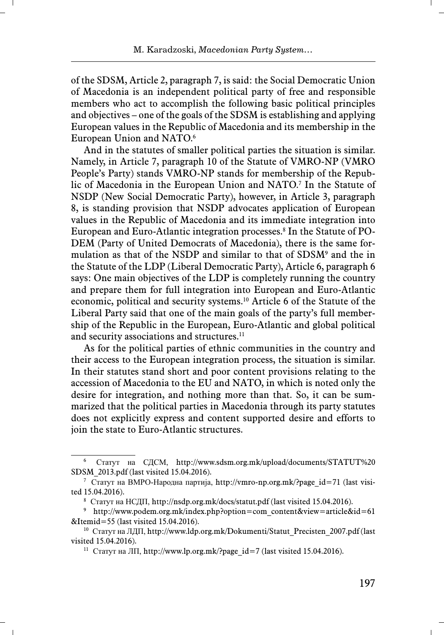of the SDSM, Article 2, paragraph 7, is said: the Social Democratic Union of Macedonia is an independent political party of free and responsible members who act to accomplish the following basic political principles and objectives – one of the goals of the SDSM is establishing and applying European values in the Republic of Macedonia and its membership in the European Union and NATO.6

And in the statutes of smaller political parties the situation is similar. Namely, in Article 7, paragraph 10 of the Statute of VMRO-NP (VMRO People's Party) stands VMRO-NP stands for membership of the Republic of Macedonia in the European Union and NATO.7 In the Statute of NSDP (New Social Democratic Party), however, in Article 3, paragraph 8, is standing provision that NSDP advocates application of European values in the Republic of Macedonia and its immediate integration into European and Euro-Atlantic integration processes.<sup>8</sup> In the Statute of PO-DEM (Party of United Democrats of Macedonia), there is the same formulation as that of the NSDP and similar to that of SDSM<sup>9</sup> and the in the Statute of the LDP (Liberal Democratic Party), Article 6, paragraph 6 says: One main objectives of the LDP is completely running the country and prepare them for full integration into European and Euro-Atlantic economic, political and security systems.10 Article 6 of the Statute of the Liberal Party said that one of the main goals of the party's full membership of the Republic in the European, Euro-Atlantic and global political and security associations and structures.<sup>11</sup>

As for the political parties of ethnic communities in the country and their access to the European integration process, the situation is similar. In their statutes stand short and poor content provisions relating to the accession of Macedonia to the EU and NATO, in which is noted only the desire for integration, and nothing more than that. So, it can be summarized that the political parties in Macedonia through its party statutes does not explicitly express and content supported desire and efforts to join the state to Euro-Atlantic structures.

<sup>6</sup>Статут на СДСМ, http://www.sdsm.org.mk/upload/documents/STATUT%20 SDSM\_2013.pdf (last visited 15.04.2016).

<sup>7</sup> Статут на ВМРО-Народна партија, http://vmro-np.org.mk/?page\_id=71 (last visited 15.04.2016).

<sup>8</sup>Статут на НСДП, http://nsdp.org.mk/docs/statut.pdf (last visited 15.04.2016).

<sup>9</sup> http://www.podem.org.mk/index.php?option=com\_content&view=article&id=61 &Itemid=55 (last visited 15.04.2016).

<sup>&</sup>lt;sup>10</sup> Статут на ЛДП, http://www.ldp.org.mk/Dokumenti/Statut\_Precisten\_2007.pdf (last visited 15.04.2016).

<sup>&</sup>lt;sup>11</sup> Статут на ЛП, http://www.lp.org.mk/?page\_id=7 (last visited 15.04.2016).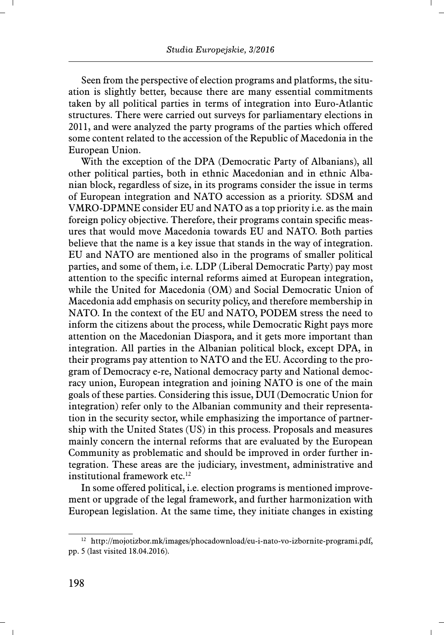Seen from the perspective of election programs and platforms, the situation is slightly better, because there are many essential commitments taken by all political parties in terms of integration into Euro-Atlantic structures. There were carried out surveys for parliamentary elections in 2011, and were analyzed the party programs of the parties which offered some content related to the accession of the Republic of Macedonia in the European Union.

With the exception of the DPA (Democratic Party of Albanians), all other political parties, both in ethnic Macedonian and in ethnic Albanian block, regardless of size, in its programs consider the issue in terms of European integration and NATO accession as a priority. SDSM and VMRO-DPMNE consider EU and NATO as a top priority i.e. as the main foreign policy objective. Therefore, their programs contain specific measures that would move Macedonia towards EU and NATO. Both parties believe that the name is a key issue that stands in the way of integration. EU and NATO are mentioned also in the programs of smaller political parties, and some of them, i.e. LDP (Liberal Democratic Party) pay most attention to the specific internal reforms aimed at European integration, while the United for Macedonia (OM) and Social Democratic Union of Macedonia add emphasis on security policy, and therefore membership in NATO. In the context of the EU and NATO, PODEM stress the need to inform the citizens about the process, while Democratic Right pays more attention on the Macedonian Diaspora, and it gets more important than integration. All parties in the Albanian political block, except DPA, in their programs pay attention to NATO and the EU. According to the program of Democracy e-re, National democracy party and National democracy union, European integration and joining NATO is one of the main goals of these parties. Considering this issue, DUI (Democratic Union for integration) refer only to the Albanian community and their representation in the security sector, while emphasizing the importance of partnership with the United States (US) in this process. Proposals and measures mainly concern the internal reforms that are evaluated by the European Community as problematic and should be improved in order further integration. These areas are the judiciary, investment, administrative and institutional framework etc.<sup>12</sup>

In some offered political, i.e. election programs is mentioned improvement or upgrade of the legal framework, and further harmonization with European legislation. At the same time, they initiate changes in existing

<sup>12</sup> http://mojotizbor.mk/images/phocadownload/eu-i-nato-vo-izbornite-programi.pdf, pp. 5 (last visited 18.04.2016).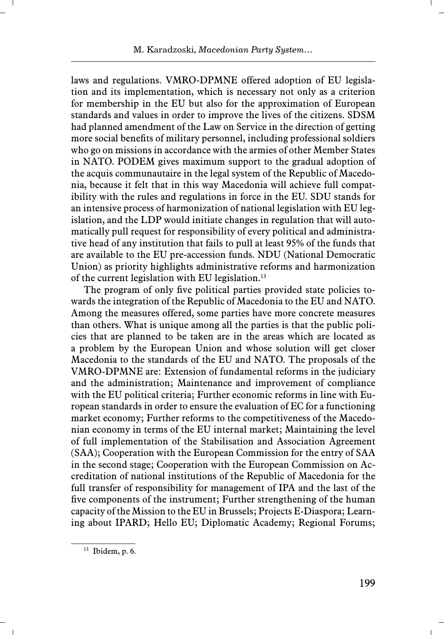laws and regulations. VMRO-DPMNE offered adoption of EU legislation and its implementation, which is necessary not only as a criterion for membership in the EU but also for the approximation of European standards and values in order to improve the lives of the citizens. SDSM had planned amendment of the Law on Service in the direction of getting more social benefits of military personnel, including professional soldiers who go on missions in accordance with the armies of other Member States in NATO. PODEM gives maximum support to the gradual adoption of the acquis communautaire in the legal system of the Republic of Macedonia, because it felt that in this way Macedonia will achieve full compatibility with the rules and regulations in force in the EU. SDU stands for an intensive process of harmonization of national legislation with EU legislation, and the LDP would initiate changes in regulation that will automatically pull request for responsibility of every political and administrative head of any institution that fails to pull at least 95% of the funds that are available to the EU pre-accession funds. NDU (National Democratic Union) as priority highlights administrative reforms and harmonization of the current legislation with EU legislation.13

The program of only five political parties provided state policies towards the integration of the Republic of Macedonia to the EU and NATO. Among the measures offered, some parties have more concrete measures than others. What is unique among all the parties is that the public policies that are planned to be taken are in the areas which are located as a problem by the European Union and whose solution will get closer Macedonia to the standards of the EU and NATO. The proposals of the VMRO-DPMNE are: Extension of fundamental reforms in the judiciary and the administration; Maintenance and improvement of compliance with the EU political criteria; Further economic reforms in line with European standards in order to ensure the evaluation of EC for a functioning market economy; Further reforms to the competitiveness of the Macedonian economy in terms of the EU internal market; Maintaining the level of full implementation of the Stabilisation and Association Agreement (SAA); Cooperation with the European Commission for the entry of SAA in the second stage; Cooperation with the European Commission on Accreditation of national institutions of the Republic of Macedonia for the full transfer of responsibility for management of IPA and the last of the five components of the instrument; Further strengthening of the human capacity of the Mission to the EU in Brussels; Projects E-Diaspora; Learning about IPARD; Hello EU; Diplomatic Academy; Regional Forums;

 $13$  Ibidem, p. 6.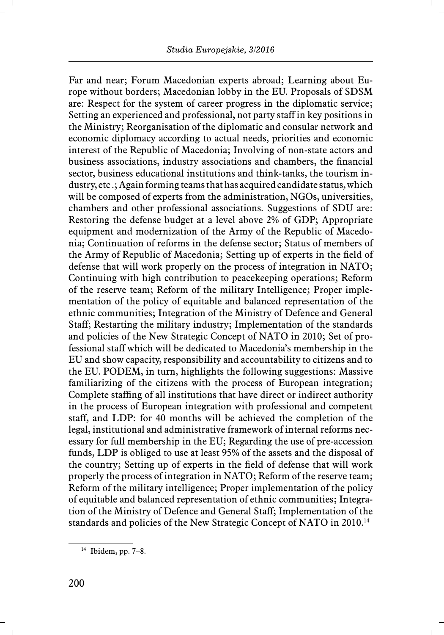Far and near; Forum Macedonian experts abroad; Learning about Europe without borders; Macedonian lobby in the EU. Proposals of SDSM are: Respect for the system of career progress in the diplomatic service; Setting an experienced and professional, not party staff in key positions in the Ministry; Reorganisation of the diplomatic and consular network and economic diplomacy according to actual needs, priorities and economic interest of the Republic of Macedonia; Involving of non-state actors and business associations, industry associations and chambers, the financial sector, business educational institutions and think-tanks, the tourism industry, etc .; Again forming teams that has acquired candidate status, which will be composed of experts from the administration, NGOs, universities, chambers and other professional associations. Suggestions of SDU are: Restoring the defense budget at a level above 2% of GDP; Appropriate equipment and modernization of the Army of the Republic of Macedonia; Continuation of reforms in the defense sector; Status of members of the Army of Republic of Macedonia; Setting up of experts in the field of defense that will work properly on the process of integration in NATO; Continuing with high contribution to peacekeeping operations; Reform of the reserve team; Reform of the military Intelligence; Proper implementation of the policy of equitable and balanced representation of the ethnic communities; Integration of the Ministry of Defence and General Staff; Restarting the military industry; Implementation of the standards and policies of the New Strategic Concept of NATO in 2010; Set of professional staff which will be dedicated to Macedonia's membership in the EU and show capacity, responsibility and accountability to citizens and to the EU. PODEM, in turn, highlights the following suggestions: Massive familiarizing of the citizens with the process of European integration; Complete staffing of all institutions that have direct or indirect authority in the process of European integration with professional and competent staff, and LDP: for 40 months will be achieved the completion of the legal, institutional and administrative framework of internal reforms necessary for full membership in the EU; Regarding the use of pre-accession funds, LDP is obliged to use at least 95% of the assets and the disposal of the country; Setting up of experts in the field of defense that will work properly the process of integration in NATO; Reform of the reserve team; Reform of the military intelligence; Proper implementation of the policy of equitable and balanced representation of ethnic communities; Integration of the Ministry of Defence and General Staff; Implementation of the standards and policies of the New Strategic Concept of NATO in 2010.14

 $14$  Ibidem, pp. 7–8.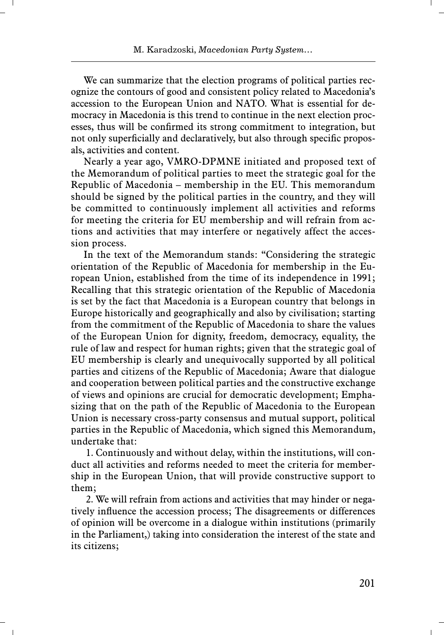We can summarize that the election programs of political parties recognize the contours of good and consistent policy related to Macedonia's accession to the European Union and NATO. What is essential for democracy in Macedonia is this trend to continue in the next election processes, thus will be confirmed its strong commitment to integration, but not only superficially and declaratively, but also through specific proposals, activities and content.

Nearly a year ago, VMRO-DPMNE initiated and proposed text of the Memorandum of political parties to meet the strategic goal for the Republic of Macedonia – membership in the EU. This memorandum should be signed by the political parties in the country, and they will be committed to continuously implement all activities and reforms for meeting the criteria for EU membership and will refrain from actions and activities that may interfere or negatively affect the accession process.

In the text of the Memorandum stands: "Considering the strategic orientation of the Republic of Macedonia for membership in the European Union, established from the time of its independence in 1991; Recalling that this strategic orientation of the Republic of Macedonia is set by the fact that Macedonia is a European country that belongs in Europe historically and geographically and also by civilisation; starting from the commitment of the Republic of Macedonia to share the values of the European Union for dignity, freedom, democracy, equality, the rule of law and respect for human rights; given that the strategic goal of EU membership is clearly and unequivocally supported by all political parties and citizens of the Republic of Macedonia; Aware that dialogue and cooperation between political parties and the constructive exchange of views and opinions are crucial for democratic development; Emphasizing that on the path of the Republic of Macedonia to the European Union is necessary cross-party consensus and mutual support, political parties in the Republic of Macedonia, which signed this Memorandum, undertake that:

 1. Continuously and without delay, within the institutions, will conduct all activities and reforms needed to meet the criteria for membership in the European Union, that will provide constructive support to them;

 2. We will refrain from actions and activities that may hinder or negatively influence the accession process; The disagreements or differences of opinion will be overcome in a dialogue within institutions (primarily in the Parliament,) taking into consideration the interest of the state and its citizens;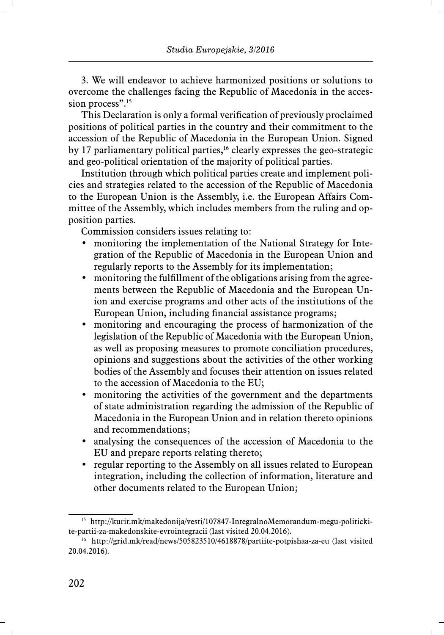3. We will endeavor to achieve harmonized positions or solutions to overcome the challenges facing the Republic of Macedonia in the accession process".<sup>15</sup>

This Declaration is only a formal verification of previously proclaimed positions of political parties in the country and their commitment to the accession of the Republic of Macedonia in the European Union. Signed by 17 parliamentary political parties,<sup>16</sup> clearly expresses the geo-strategic and geo-political orientation of the majority of political parties.

Institution through which political parties create and implement policies and strategies related to the accession of the Republic of Macedonia to the European Union is the Assembly, i.e. the European Affairs Committee of the Assembly, which includes members from the ruling and opposition parties.

Commission considers issues relating to:

- monitoring the implementation of the National Strategy for Integration of the Republic of Macedonia in the European Union and regularly reports to the Assembly for its implementation;
- monitoring the fulfillment of the obligations arising from the agreements between the Republic of Macedonia and the European Union and exercise programs and other acts of the institutions of the European Union, including financial assistance programs;
- monitoring and encouraging the process of harmonization of the legislation of the Republic of Macedonia with the European Union, as well as proposing measures to promote conciliation procedures, opinions and suggestions about the activities of the other working bodies of the Assembly and focuses their attention on issues related to the accession of Macedonia to the EU;
- monitoring the activities of the government and the departments of state administration regarding the admission of the Republic of Macedonia in the European Union and in relation thereto opinions and recommendations;
- analysing the consequences of the accession of Macedonia to the EU and prepare reports relating thereto;
- regular reporting to the Assembly on all issues related to European integration, including the collection of information, literature and other documents related to the European Union;

<sup>15</sup> http://kurir.mk/makedonija/vesti/107847-IntegralnoMemorandum-megu-politickite-partii-za-makedonskite-evrointegracii (last visited 20.04.2016).

<sup>16</sup> http://grid.mk/read/news/505823510/4618878/partiite-potpishaa-za-eu (last visited 20.04.2016).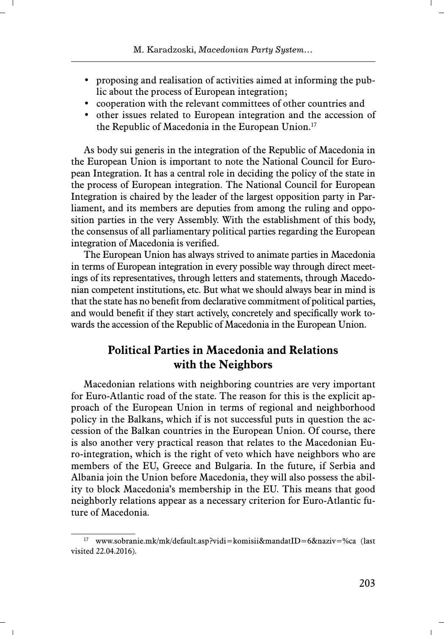- proposing and realisation of activities aimed at informing the public about the process of European integration;
- cooperation with the relevant committees of other countries and
- other issues related to European integration and the accession of the Republic of Macedonia in the European Union.<sup>17</sup>

As body sui generis in the integration of the Republic of Macedonia in the European Union is important to note the National Council for European Integration. It has a central role in deciding the policy of the state in the process of European integration. The National Council for European Integration is chaired by the leader of the largest opposition party in Parliament, and its members are deputies from among the ruling and opposition parties in the very Assembly. With the establishment of this body, the consensus of all parliamentary political parties regarding the European integration of Macedonia is verified.

The European Union has always strived to animate parties in Macedonia in terms of European integration in every possible way through direct meetings of its representatives, through letters and statements, through Macedonian competent institutions, etc. But what we should always bear in mind is that the state has no benefit from declarative commitment of political parties, and would benefit if they start actively, concretely and specifically work towards the accession of the Republic of Macedonia in the European Union.

# **Political Parties in Macedonia and Relations with the Neighbors**

Macedonian relations with neighboring countries are very important for Euro-Atlantic road of the state. The reason for this is the explicit approach of the European Union in terms of regional and neighborhood policy in the Balkans, which if is not successful puts in question the accession of the Balkan countries in the European Union. Of course, there is also another very practical reason that relates to the Macedonian Euro-integration, which is the right of veto which have neighbors who are members of the EU, Greece and Bulgaria. In the future, if Serbia and Albania join the Union before Macedonia, they will also possess the ability to block Macedonia's membership in the EU. This means that good neighborly relations appear as a necessary criterion for Euro-Atlantic future of Macedonia.

<sup>17</sup> www.sobranie.mk/mk/default.asp?vidi=komisii&mandatID=6&naziv=%ca (last visited 22.04.2016).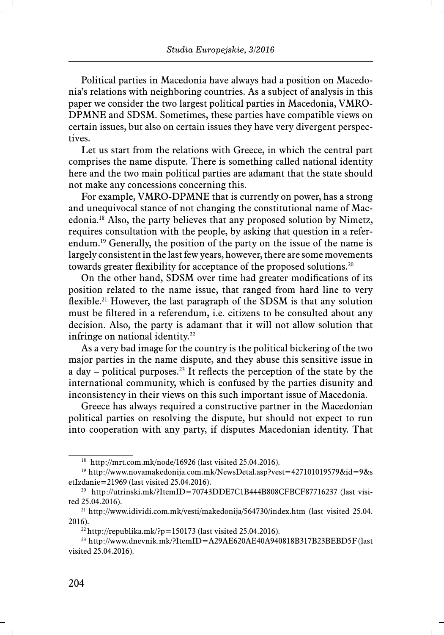Political parties in Macedonia have always had a position on Macedonia's relations with neighboring countries. As a subject of analysis in this paper we consider the two largest political parties in Macedonia, VMRO-DPMNE and SDSM. Sometimes, these parties have compatible views on certain issues, but also on certain issues they have very divergent perspectives.

Let us start from the relations with Greece, in which the central part comprises the name dispute. There is something called national identity here and the two main political parties are adamant that the state should not make any concessions concerning this.

For example, VMRO-DPMNE that is currently on power, has a strong and unequivocal stance of not changing the constitutional name of Macedonia.18 Also, the party believes that any proposed solution by Nimetz, requires consultation with the people, by asking that question in a referendum.19 Generally, the position of the party on the issue of the name is largely consistent in the last few years, however, there are some movements towards greater flexibility for acceptance of the proposed solutions.<sup>20</sup>

On the other hand, SDSM over time had greater modifications of its position related to the name issue, that ranged from hard line to very fl exible.<sup>21</sup> However, the last paragraph of the SDSM is that any solution must be filtered in a referendum, i.e. citizens to be consulted about any decision. Also, the party is adamant that it will not allow solution that infringe on national identity.<sup>22</sup>

As a very bad image for the country is the political bickering of the two major parties in the name dispute, and they abuse this sensitive issue in a day – political purposes.<sup>23</sup> It reflects the perception of the state by the international community, which is confused by the parties disunity and inconsistency in their views on this such important issue of Macedonia.

Greece has always required a constructive partner in the Macedonian political parties on resolving the dispute, but should not expect to run into cooperation with any party, if disputes Macedonian identity. That

<sup>18</sup> http://mrt.com.mk/node/16926 (last visited 25.04.2016).

<sup>19</sup> http://www.novamakedonija.com.mk/NewsDetal.asp?vest=427101019579&id=9&s etIzdanie=21969 (last visited 25.04.2016).

<sup>&</sup>lt;sup>20</sup> http://utrinski.mk/?ItemID=70743DDE7C1B444B808CFBCF87716237 (last visited 25.04.2016).

<sup>21</sup> http://www.idividi.com.mk/vesti/makedonija/564730/index.htm (last visited 25.04. 2016).

 $^{22}$  http://republika.mk/?p=150173 (last visited 25.04.2016).

<sup>&</sup>lt;sup>23</sup> http://www.dnevnik.mk/?ItemID=A29AE620AE40A940818B317B23BEBD5F (last visited 25.04.2016).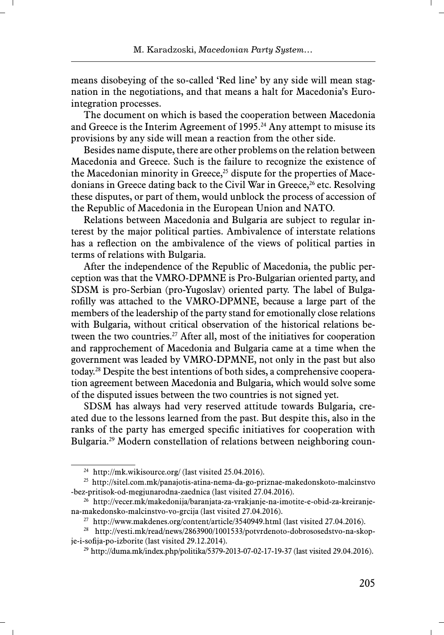means disobeying of the so-called 'Red line' by any side will mean stagnation in the negotiations, and that means a halt for Macedonia's Eurointegration processes.

The document on which is based the cooperation between Macedonia and Greece is the Interim Agreement of 1995.<sup>24</sup> Any attempt to misuse its provisions by any side will mean a reaction from the other side.

Besides name dispute, there are other problems on the relation between Macedonia and Greece. Such is the failure to recognize the existence of the Macedonian minority in Greece, $25$  dispute for the properties of Macedonians in Greece dating back to the Civil War in Greece, $26$  etc. Resolving these disputes, or part of them, would unblock the process of accession of the Republic of Macedonia in the European Union and NATO.

Relations between Macedonia and Bulgaria are subject to regular interest by the major political parties. Ambivalence of interstate relations has a reflection on the ambivalence of the views of political parties in terms of relations with Bulgaria.

After the independence of the Republic of Macedonia, the public perception was that the VMRO-DPMNE is Pro-Bulgarian oriented party, and SDSM is pro-Serbian (pro-Yugoslav) oriented party. The label of Bulgarofilly was attached to the VMRO-DPMNE, because a large part of the members of the leadership of the party stand for emotionally close relations with Bulgaria, without critical observation of the historical relations between the two countries.<sup>27</sup> After all, most of the initiatives for cooperation and rapprochement of Macedonia and Bulgaria came at a time when the government was leaded by VMRO-DPMNE, not only in the past but also today.28 Despite the best intentions of both sides, a comprehensive cooperation agreement between Macedonia and Bulgaria, which would solve some of the disputed issues between the two countries is not signed yet.

SDSM has always had very reserved attitude towards Bulgaria, created due to the lessons learned from the past. But despite this, also in the ranks of the party has emerged specific initiatives for cooperation with Bulgaria.29 Modern constellation of relations between neighboring coun-

<sup>&</sup>lt;sup>24</sup> http://mk.wikisource.org/ (last visited 25.04.2016).

<sup>25</sup> http://sitel.com.mk/panajotis-atina-nema-da-go-priznae-makedonskoto-malcinstvo -bez-pritisok-od-megjunarodna-zaednica (last visited 27.04.2016).

<sup>26</sup> http://vecer.mk/makedonija/baranjata-za-vrakjanje-na-imotite-e-obid-za-kreiranjena-makedonsko-malcinstvo-vo-grcija (last visited 27.04.2016).

<sup>&</sup>lt;sup>27</sup> http://www.makdenes.org/content/article/3540949.html (last visited 27.04.2016).

<sup>28</sup> http://vesti.mk/read/news/2863900/1001533/potvrdenoto-dobrososedstvo-na-skopje-i-sofija-po-izborite (last visited 29.12.2014).

<sup>29</sup> http://duma.mk/index.php/politika/5379-2013-07-02-17-19-37 (last visited 29.04.2016).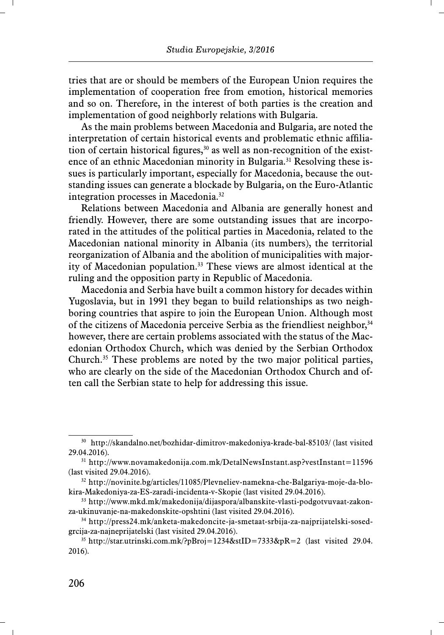tries that are or should be members of the European Union requires the implementation of cooperation free from emotion, historical memories and so on. Therefore, in the interest of both parties is the creation and implementation of good neighborly relations with Bulgaria.

As the main problems between Macedonia and Bulgaria, are noted the interpretation of certain historical events and problematic ethnic affiliation of certain historical figures,<sup>30</sup> as well as non-recognition of the existence of an ethnic Macedonian minority in Bulgaria.<sup>31</sup> Resolving these issues is particularly important, especially for Macedonia, because the outstanding issues can generate a blockade by Bulgaria, on the Euro-Atlantic integration processes in Macedonia.32

Relations between Macedonia and Albania are generally honest and friendly. However, there are some outstanding issues that are incorporated in the attitudes of the political parties in Macedonia, related to the Macedonian national minority in Albania (its numbers), the territorial reorganization of Albania and the abolition of municipalities with majority of Macedonian population.33 These views are almost identical at the ruling and the opposition party in Republic of Macedonia.

Macedonia and Serbia have built a common history for decades within Yugoslavia, but in 1991 they began to build relationships as two neighboring countries that aspire to join the European Union. Although most of the citizens of Macedonia perceive Serbia as the friendliest neighbor,34 however, there are certain problems associated with the status of the Macedonian Orthodox Church, which was denied by the Serbian Orthodox Church.35 These problems are noted by the two major political parties, who are clearly on the side of the Macedonian Orthodox Church and often call the Serbian state to help for addressing this issue.

<sup>30</sup> http://skandalno.net/bozhidar-dimitrov-makedoniya-krade-bal-85103/ (last visited 29.04.2016).

 $31 \text{ http://www.novamakedonija.com.mk/Details/substar.asp?vestInstant=11596}$ (last visited 29.04.2016).

<sup>32</sup> http://novinite.bg/articles/11085/Plevneliev-namekna-che-Balgariya-moje-da-blokira-Makedoniya-za-ES-zaradi-incidenta-v-Skopie (last visited 29.04.2016).

<sup>33</sup> http://www.mkd.mk/makedonija/dijaspora/albanskite-vlasti-podgotvuvaat-zakonza-ukinuvanje-na-makedonskite-opshtini (last visited 29.04.2016).

<sup>34</sup> http://press24.mk/anketa-makedoncite-ja-smetaat-srbija-za-najprijatelski-sosedgrcija-za-najneprijatelski (last visited 29.04.2016).

<sup>&</sup>lt;sup>35</sup> http://star.utrinski.com.mk/?pBroj=1234&stID=7333&pR=2 (last visited 29.04. 2016).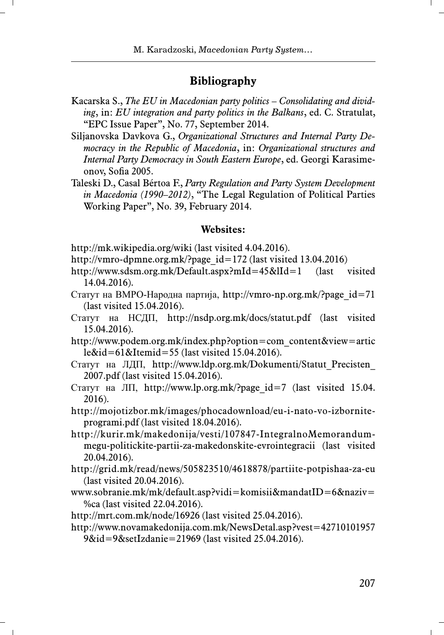## **Bibliography**

- Kacarska S., *The EU in Macedonian party politics Consolidating and dividing*, in: *EU integration and party politics in the Balkans*, ed. C. Stratulat, "EPC Issue Paper", No. 77, September 2014.
- Siljanovska Davkova G., *Organizational Structures and Internal Party Democracy in the Republic of Macedonia*, in: *Organizational structures and Internal Party Democracy in South Eastern Europe*, ed. Georgi Karasimeonov, Sofia 2005.
- Taleski D., Casal Bértoa F., *Party Regulation and Party System Development in Macedonia (1990–2012)*, "The Legal Regulation of Political Parties Working Paper", No. 39, February 2014.

#### **Websites:**

- http://mk.wikipedia.org/wiki (last visited 4.04.2016).
- http://vmro-dpmne.org.mk/?page\_id=172 (last visited 13.04.2016)
- http://www.sdsm.org.mk/Default.aspx?mId=45&lId=1 (last visited 14.04.2016).
- Статут на ВМРО-Народна партија, http://vmro-np.org.mk/?page\_id=71 (last visited 15.04.2016).
- Статут на НСДП, http://nsdp.org.mk/docs/statut.pdf (last visited 15.04.2016).
- http://www.podem.org.mk/index.php?option=com\_content&view=artic le&id=61&Itemid=55 (last visited 15.04.2016).
- Статут на ЛДП, http://www.ldp.org.mk/Dokumenti/Statut\_Precisten\_ 2007.pdf (last visited 15.04.2016).
- Статут на ЛП, http://www.lp.org.mk/?page\_id=7 (last visited 15.04. 2016).
- http://mojotizbor.mk/images/phocadownload/eu-i-nato-vo-izborniteprogrami.pdf (last visited 18.04.2016).
- http://kurir.mk/makedonija/vesti/107847-IntegralnoMemorandummegu-politickite-partii-za-makedonskite-evrointegracii (last visited 20.04.2016).
- http://grid.mk/read/news/505823510/4618878/partiite-potpishaa-za-eu (last visited 20.04.2016).
- www.sobranie.mk/mk/default.asp?vidi=komisii&mandatID=6&naziv= %ca (last visited 22.04.2016).
- http://mrt.com.mk/node/16926 (last visited 25.04.2016).
- http://www.novamakedonija.com.mk/NewsDetal.asp?vest=42710101957 9&id=9&setIzdanie=21969 (last visited 25.04.2016).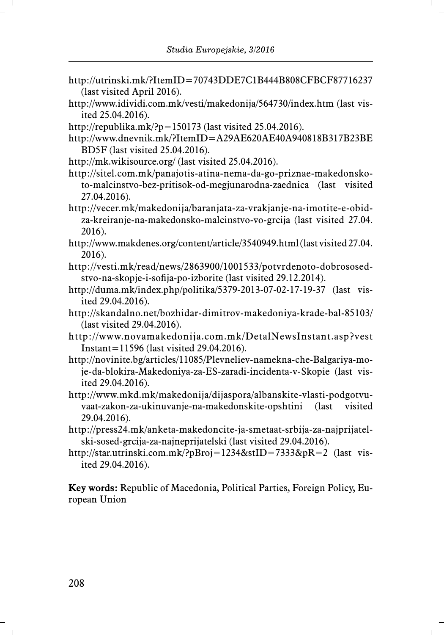- http://utrinski.mk/?ItemID=70743DDE7C1B444B808CFBCF87716237 (last visited April 2016).
- http://www.idividi.com.mk/vesti/makedonija/564730/index.htm (last visited 25.04.2016).
- http://republika.mk/?p=150173 (last visited 25.04.2016).
- http://www.dnevnik.mk/?ItemID=A29AE620AE40A940818B317B23BE BD5F (last visited 25.04.2016).
- http://mk.wikisource.org/ (last visited 25.04.2016).
- http://sitel.com.mk/panajotis-atina-nema-da-go-priznae-makedonskoto-malcinstvo-bez-pritisok-od-megjunarodna-zaednica (last visited 27.04.2016).
- http://vecer.mk/makedonija/baranjata-za-vrakjanje-na-imotite-e-obidza-kreiranje-na-makedonsko-malcinstvo-vo-grcija (last visited 27.04. 2016).
- http://www.makdenes.org/content/article/3540949.html (last visited 27.04. 2016).
- http://vesti.mk/read/news/2863900/1001533/potvrdenoto-dobrososedstvo-na-skopje-i-sofija-po-izborite (last visited 29.12.2014).
- http://duma.mk/index.php/politika/5379-2013-07-02-17-19-37 (last visited 29.04.2016).
- http://skandalno.net/bozhidar-dimitrov-makedoniya-krade-bal-85103/ (last visited 29.04.2016).
- http://www.novamakedonija.com.mk/DetalNewsInstant.asp?vest Instant=11596 (last visited 29.04.2016).
- http://novinite.bg/articles/11085/Plevneliev-namekna-che-Balgariya-moje-da-blokira-Makedoniya-za-ES-zaradi-incidenta-v-Skopie (last visited 29.04.2016).
- http://www.mkd.mk/makedonija/dijaspora/albanskite-vlasti-podgotvuvaat-zakon-za-ukinuvanje-na-makedonskite-opshtini (last visited 29.04.2016).
- http://press24.mk/anketa-makedoncite-ja-smetaat-srbija-za-najprijatelski-sosed-grcija-za-najneprijatelski (last visited 29.04.2016).
- http://star.utrinski.com.mk/?pBroj=1234&stID=7333&pR=2 (last visited 29.04.2016).

**Key words:** Republic of Macedonia, Political Parties, Foreign Policy, European Union